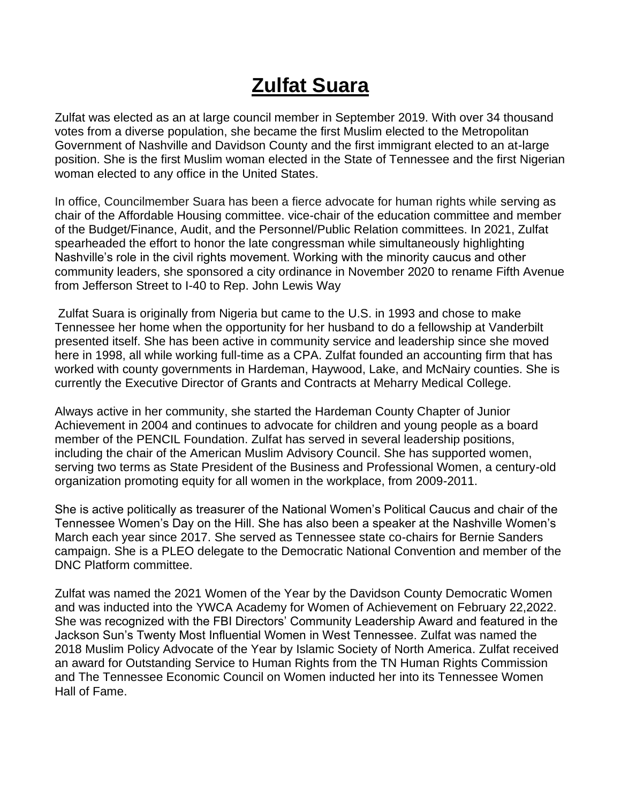## **Zulfat Suara**

Zulfat was elected as an at large council member in September 2019. With over 34 thousand votes from a diverse population, she became the first Muslim elected to the Metropolitan Government of Nashville and Davidson County and the first immigrant elected to an at-large position. She is the first Muslim woman elected in the State of Tennessee and the first Nigerian woman elected to any office in the United States.

In office, Councilmember Suara has been a fierce advocate for human rights while serving as chair of the Affordable Housing committee. vice-chair of the education committee and member of the Budget/Finance, Audit, and the Personnel/Public Relation committees. In 2021, Zulfat spearheaded the effort to honor the late congressman while simultaneously highlighting Nashville's role in the civil rights movement. Working with the minority caucus and other community leaders, she sponsored a city ordinance in November 2020 to rename Fifth Avenue from Jefferson Street to I-40 to Rep. John Lewis Way

Zulfat Suara is originally from Nigeria but came to the U.S. in 1993 and chose to make Tennessee her home when the opportunity for her husband to do a fellowship at Vanderbilt presented itself. She has been active in community service and leadership since she moved here in 1998, all while working full-time as a CPA. Zulfat founded an accounting firm that has worked with county governments in Hardeman, Haywood, Lake, and McNairy counties. She is currently the Executive Director of Grants and Contracts at Meharry Medical College.

Always active in her community, she started the Hardeman County Chapter of Junior Achievement in 2004 and continues to advocate for children and young people as a board member of the PENCIL Foundation. Zulfat has served in several leadership positions, including the chair of the American Muslim Advisory Council. She has supported women, serving two terms as State President of the Business and Professional Women, a century-old organization promoting equity for all women in the workplace, from 2009-2011.

She is active politically as treasurer of the National Women's Political Caucus and chair of the Tennessee Women's Day on the Hill. She has also been a speaker at the Nashville Women's March each year since 2017. She served as Tennessee state co-chairs for Bernie Sanders campaign. She is a PLEO delegate to the Democratic National Convention and member of the DNC Platform committee.

Zulfat was named the 2021 Women of the Year by the Davidson County Democratic Women and was inducted into the YWCA Academy for Women of Achievement on February 22,2022. She was recognized with the FBI Directors' Community Leadership Award and featured in the Jackson Sun's Twenty Most Influential Women in West Tennessee. Zulfat was named the 2018 Muslim Policy Advocate of the Year by Islamic Society of North America. Zulfat received an award for Outstanding Service to Human Rights from the TN Human Rights Commission and The Tennessee Economic Council on Women inducted her into its Tennessee Women Hall of Fame.